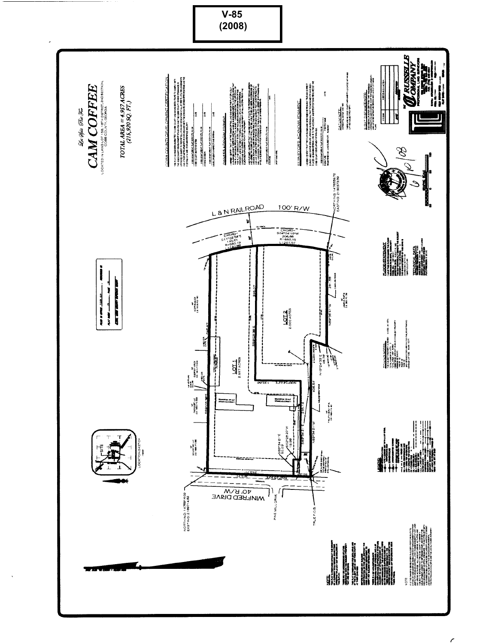

 $\epsilon$ 

**V-85**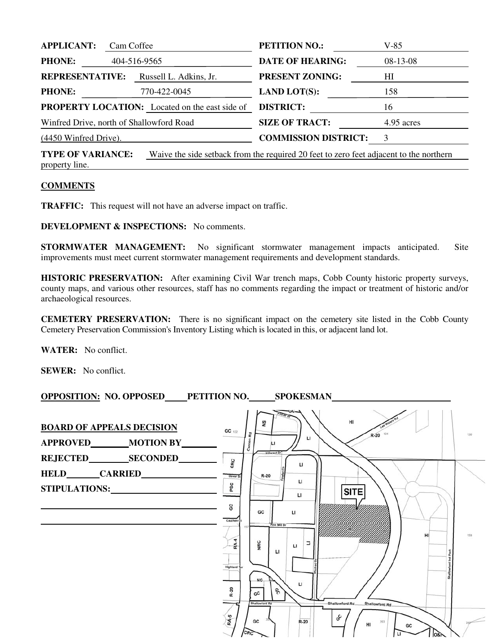| <b>APPLICANT:</b>                          | Cam Coffee |                                                       | <b>PETITION NO.:</b>                                                                   | $V-85$ |
|--------------------------------------------|------------|-------------------------------------------------------|----------------------------------------------------------------------------------------|--------|
| <b>PHONE:</b><br>404-516-9565              |            | <b>DATE OF HEARING:</b>                               | $08-13-08$                                                                             |        |
| <b>REPRESENTATIVE:</b>                     |            | Russell L. Adkins, Jr.                                | <b>PRESENT ZONING:</b>                                                                 | HI     |
| <b>PHONE:</b>                              |            | 770-422-0045                                          | <b>LAND LOT(S):</b>                                                                    | 158    |
|                                            |            | <b>PROPERTY LOCATION:</b> Located on the east side of | <b>DISTRICT:</b>                                                                       | 16     |
| Winfred Drive, north of Shallowford Road   |            | <b>SIZE OF TRACT:</b>                                 | 4.95 acres                                                                             |        |
| (4450 Winfred Drive).                      |            |                                                       | <b>COMMISSION DISTRICT:</b>                                                            | 3      |
| <b>TYPE OF VARIANCE:</b><br>property line. |            |                                                       | Waive the side setback from the required 20 feet to zero feet adjacent to the northern |        |

## **COMMENTS**

**TRAFFIC:** This request will not have an adverse impact on traffic.

**DEVELOPMENT & INSPECTIONS:** No comments.

**STORMWATER MANAGEMENT:** No significant stormwater management impacts anticipated. Site improvements must meet current stormwater management requirements and development standards.

**HISTORIC PRESERVATION:** After examining Civil War trench maps, Cobb County historic property surveys, county maps, and various other resources, staff has no comments regarding the impact or treatment of historic and/or archaeological resources.

**CEMETERY PRESERVATION:** There is no significant impact on the cemetery site listed in the Cobb County Cemetery Preservation Commission's Inventory Listing which is located in this, or adjacent land lot.

**WATER:** No conflict.

**SEWER:** No conflict.

| OPPOSITION: NO. OPPOSED PETITION NO. SPOKESMAN         |                                                                                                                                                           |     |
|--------------------------------------------------------|-----------------------------------------------------------------------------------------------------------------------------------------------------------|-----|
| <b>BOARD OF APPEALS DECISION</b><br>APPROVED MOTION BY | H1<br>S<br>$GC$ 132<br>Rd<br>$R-20$<br>п<br>Canton<br><b>Hillcrest Dr</b>                                                                                 | 130 |
| STIPULATIONS:                                          | CRC<br>$\mathbf{L}$<br>$R-20$<br>Dover St<br>п<br>PSC<br><b>SITE</b><br>LI                                                                                |     |
|                                                        | မ္တ<br>GC<br>LI<br>Cauthen <sup>(</sup><br>Pine Mill Dr<br>157<br>HI                                                                                      | 159 |
|                                                        | RA-4<br>NRC<br>Ξ<br>$\mathbf{L}$<br>L1<br><b>Highland</b><br><b>NS</b><br>$\mathsf{u}$                                                                    |     |
|                                                        | R-20<br>o,<br>GC<br><b>Shallowford Rd</b><br>Shallowford Rd<br>Shallowford Rd.<br>RA-5<br>GC<br>GC<br>$R-20$<br>203<br>HI<br>GC<br>CR <sub>C</sub><br>081 |     |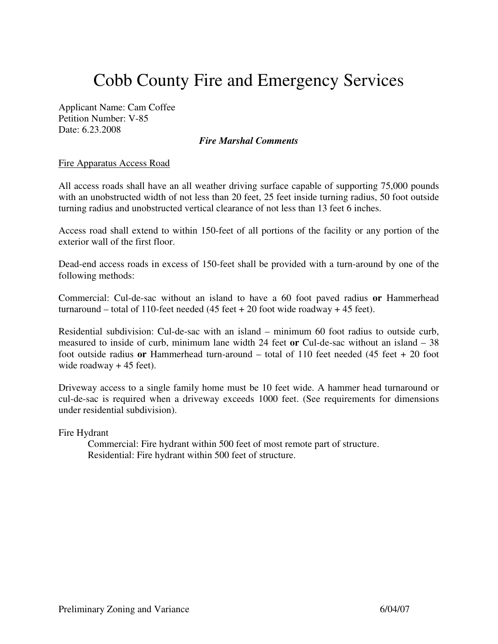## Cobb County Fire and Emergency Services

Applicant Name: Cam Coffee Petition Number: V-85 Date: 6.23.2008

## *Fire Marshal Comments*

## Fire Apparatus Access Road

All access roads shall have an all weather driving surface capable of supporting 75,000 pounds with an unobstructed width of not less than 20 feet, 25 feet inside turning radius, 50 foot outside turning radius and unobstructed vertical clearance of not less than 13 feet 6 inches.

Access road shall extend to within 150-feet of all portions of the facility or any portion of the exterior wall of the first floor.

Dead-end access roads in excess of 150-feet shall be provided with a turn-around by one of the following methods:

Commercial: Cul-de-sac without an island to have a 60 foot paved radius **or** Hammerhead turnaround – total of 110-feet needed  $(45 \text{ feet} + 20 \text{ foot wide roadway} + 45 \text{ feet}).$ 

Residential subdivision: Cul-de-sac with an island – minimum 60 foot radius to outside curb, measured to inside of curb, minimum lane width 24 feet **or** Cul-de-sac without an island – 38 foot outside radius **or** Hammerhead turn-around – total of 110 feet needed (45 feet + 20 foot wide roadway + 45 feet).

Driveway access to a single family home must be 10 feet wide. A hammer head turnaround or cul-de-sac is required when a driveway exceeds 1000 feet. (See requirements for dimensions under residential subdivision).

Fire Hydrant

Commercial: Fire hydrant within 500 feet of most remote part of structure. Residential: Fire hydrant within 500 feet of structure.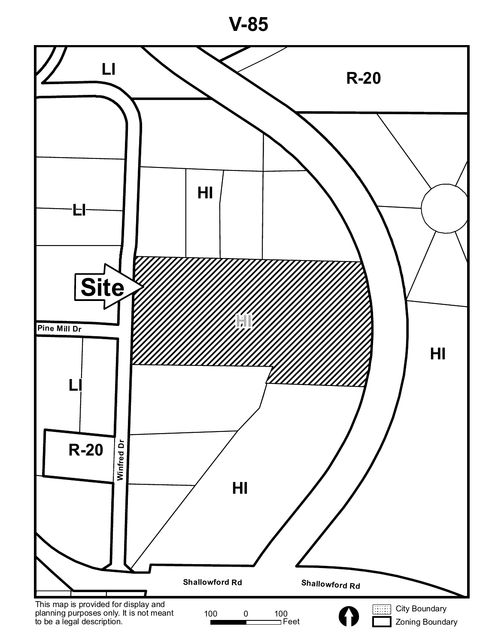

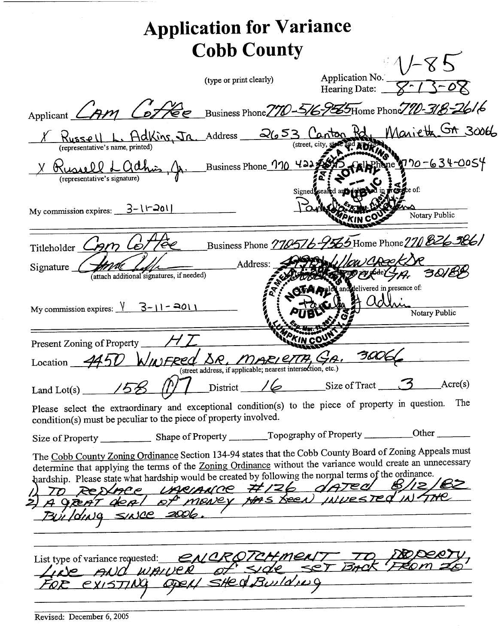|                                                                                                                                                                                                                                                                                                                                                                                                                          |                                           | <b>Application for Variance</b>                        |          |                                  |                                                              |
|--------------------------------------------------------------------------------------------------------------------------------------------------------------------------------------------------------------------------------------------------------------------------------------------------------------------------------------------------------------------------------------------------------------------------|-------------------------------------------|--------------------------------------------------------|----------|----------------------------------|--------------------------------------------------------------|
|                                                                                                                                                                                                                                                                                                                                                                                                                          |                                           | <b>Cobb County</b>                                     |          |                                  |                                                              |
|                                                                                                                                                                                                                                                                                                                                                                                                                          |                                           | (type or print clearly)                                |          | Application No.<br>Hearing Date: |                                                              |
| Applicant $\angle$                                                                                                                                                                                                                                                                                                                                                                                                       |                                           |                                                        |          |                                  | AM Coffee Business Phone 770-516-9565Home Phone 710-318-2616 |
| (representative's name, printed)                                                                                                                                                                                                                                                                                                                                                                                         |                                           | L. Adkins, In Address 2653 Canton                      | (street. |                                  | Marieth GA 30066                                             |
| (representative's signature)                                                                                                                                                                                                                                                                                                                                                                                             |                                           | h. Business Phone $\frac{110 \text{ Hz}}{222}$         | Signed   |                                  | <u>ne 170-634-0</u> 0S4                                      |
| My commission expires: $3-\sqrt{201}$                                                                                                                                                                                                                                                                                                                                                                                    |                                           |                                                        |          |                                  | Notary Public                                                |
| Titleholder                                                                                                                                                                                                                                                                                                                                                                                                              |                                           |                                                        |          |                                  | Business Phone 770576-9565 Home Phone 270 826 586/           |
| Signature                                                                                                                                                                                                                                                                                                                                                                                                                | (attach additional signatures, if needed) | Address:                                               |          |                                  | and delivered in presence of:                                |
| My commission expires: $\sqrt{3-11-2011}$                                                                                                                                                                                                                                                                                                                                                                                |                                           |                                                        |          |                                  | Notary Public                                                |
| Present Zoning of Property                                                                                                                                                                                                                                                                                                                                                                                               |                                           |                                                        |          |                                  |                                                              |
| Location __                                                                                                                                                                                                                                                                                                                                                                                                              |                                           | (street address, if applicable, fiearest intersection, |          |                                  |                                                              |
| Land Lot(s) $\frac{15\%}{25\%}$                                                                                                                                                                                                                                                                                                                                                                                          |                                           |                                                        |          |                                  | $District$ / $\leftarrow$ Size of Tract 3 Acre(s)            |
| Please select the extraordinary and exceptional condition(s) to the piece of property in question.<br>condition(s) must be peculiar to the piece of property involved.                                                                                                                                                                                                                                                   |                                           |                                                        |          |                                  | The                                                          |
|                                                                                                                                                                                                                                                                                                                                                                                                                          |                                           |                                                        |          |                                  |                                                              |
| The Cobb County Zoning Ordinance Section 134-94 states that the Cobb County Board of Zoning Appeals must<br>determine that applying the terms of the Zoning Ordinance without the variance would create an unnecessary<br>hardship. Please state what hardship would be created by following the normal terms of the ordinance.<br>TO RENACE UNCIANCE #126 daTed B/12,<br>A GREAT DEAL of MENCY HAS SEEN INVESTED IN THE |                                           |                                                        |          |                                  |                                                              |
| Building since 2006.                                                                                                                                                                                                                                                                                                                                                                                                     |                                           |                                                        |          |                                  |                                                              |
|                                                                                                                                                                                                                                                                                                                                                                                                                          |                                           |                                                        |          |                                  |                                                              |
| List type of variance requested: <u>ENCROTCHMENT</u> TO DO                                                                                                                                                                                                                                                                                                                                                               |                                           | existING OPEN SHEQ Building                            |          |                                  |                                                              |